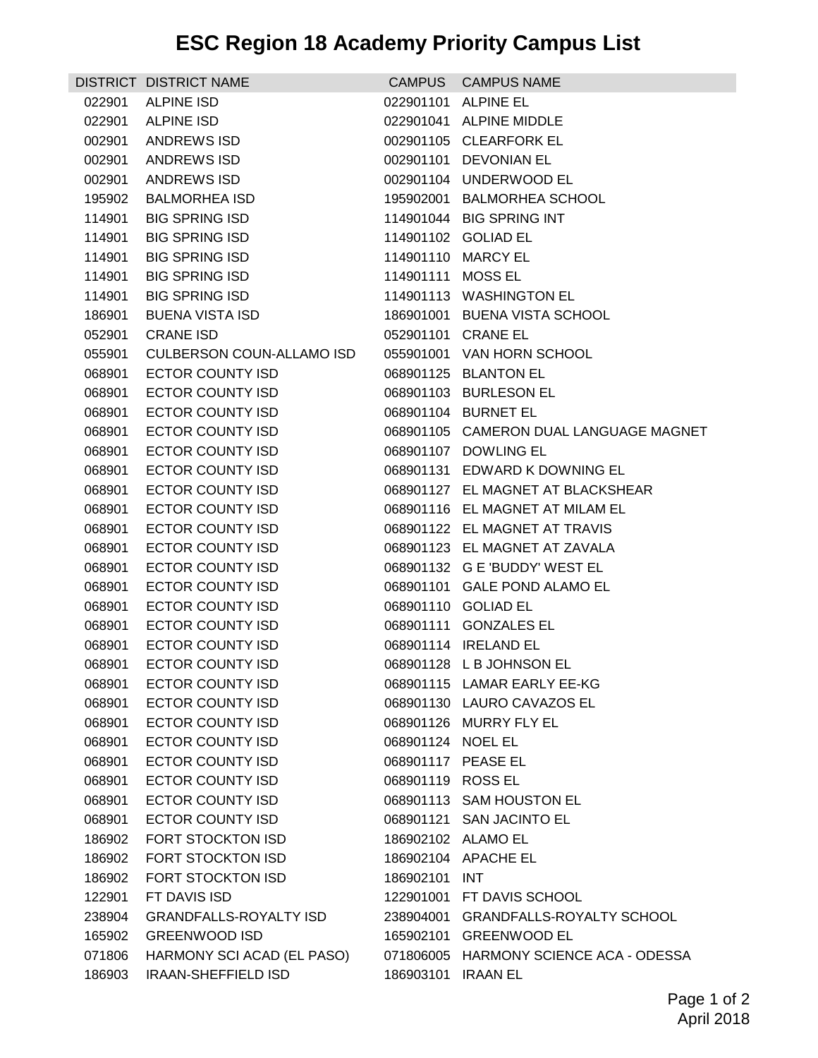## **ESC Region 18 Academy Priority Campus List**

|        | DISTRICT DISTRICT NAME           |                    | CAMPUS CAMPUS NAME                     |
|--------|----------------------------------|--------------------|----------------------------------------|
| 022901 | <b>ALPINE ISD</b>                |                    | 022901101 ALPINE EL                    |
| 022901 | <b>ALPINE ISD</b>                |                    | 022901041 ALPINE MIDDLE                |
| 002901 | ANDREWS ISD                      |                    | 002901105 CLEARFORK EL                 |
| 002901 | ANDREWS ISD                      |                    | 002901101 DEVONIAN EL                  |
| 002901 | ANDREWS ISD                      |                    | 002901104 UNDERWOOD EL                 |
| 195902 | <b>BALMORHEA ISD</b>             |                    | 195902001 BALMORHEA SCHOOL             |
| 114901 | <b>BIG SPRING ISD</b>            |                    | 114901044 BIG SPRING INT               |
| 114901 | <b>BIG SPRING ISD</b>            |                    | 114901102 GOLIAD EL                    |
| 114901 | <b>BIG SPRING ISD</b>            |                    | 114901110 MARCY EL                     |
| 114901 | <b>BIG SPRING ISD</b>            | 114901111 MOSS EL  |                                        |
| 114901 | <b>BIG SPRING ISD</b>            |                    | 114901113 WASHINGTON EL                |
| 186901 | <b>BUENA VISTA ISD</b>           |                    | 186901001 BUENA VISTA SCHOOL           |
| 052901 | <b>CRANE ISD</b>                 |                    | 052901101 CRANE EL                     |
| 055901 | <b>CULBERSON COUN-ALLAMO ISD</b> |                    | 055901001 VAN HORN SCHOOL              |
| 068901 | <b>ECTOR COUNTY ISD</b>          |                    | 068901125 BLANTON EL                   |
| 068901 | ECTOR COUNTY ISD                 |                    | 068901103 BURLESON EL                  |
| 068901 | <b>ECTOR COUNTY ISD</b>          |                    | 068901104 BURNET EL                    |
| 068901 | <b>ECTOR COUNTY ISD</b>          |                    | 068901105 CAMERON DUAL LANGUAGE MAGNET |
| 068901 | ECTOR COUNTY ISD                 |                    | 068901107 DOWLING EL                   |
| 068901 | ECTOR COUNTY ISD                 |                    | 068901131 EDWARD K DOWNING EL          |
| 068901 | ECTOR COUNTY ISD                 |                    | 068901127 EL MAGNET AT BLACKSHEAR      |
| 068901 | ECTOR COUNTY ISD                 |                    | 068901116 EL MAGNET AT MILAM EL        |
| 068901 | ECTOR COUNTY ISD                 |                    | 068901122 EL MAGNET AT TRAVIS          |
| 068901 | ECTOR COUNTY ISD                 |                    | 068901123 EL MAGNET AT ZAVALA          |
| 068901 | <b>ECTOR COUNTY ISD</b>          |                    | 068901132 G E 'BUDDY' WEST EL          |
| 068901 | ECTOR COUNTY ISD                 |                    | 068901101 GALE POND ALAMO EL           |
| 068901 | <b>ECTOR COUNTY ISD</b>          |                    | 068901110 GOLIAD EL                    |
| 068901 | ECTOR COUNTY ISD                 |                    | 068901111 GONZALES EL                  |
| 068901 | <b>ECTOR COUNTY ISD</b>          |                    | 068901114 IRELAND EL                   |
|        | 068901 ECTOR COUNTY ISD          |                    | 068901128 L B JOHNSON EL               |
| 068901 | ECTOR COUNTY ISD                 |                    | 068901115 LAMAR EARLY EE-KG            |
| 068901 | <b>ECTOR COUNTY ISD</b>          |                    | 068901130 LAURO CAVAZOS EL             |
| 068901 | <b>ECTOR COUNTY ISD</b>          |                    | 068901126 MURRY FLY EL                 |
| 068901 | <b>ECTOR COUNTY ISD</b>          | 068901124 NOEL EL  |                                        |
| 068901 | <b>ECTOR COUNTY ISD</b>          | 068901117 PEASE EL |                                        |
| 068901 | <b>ECTOR COUNTY ISD</b>          | 068901119 ROSS EL  |                                        |
| 068901 | <b>ECTOR COUNTY ISD</b>          |                    | 068901113 SAM HOUSTON EL               |
| 068901 | <b>ECTOR COUNTY ISD</b>          |                    | 068901121 SAN JACINTO EL               |
| 186902 | FORT STOCKTON ISD                |                    | 186902102 ALAMO EL                     |
| 186902 | FORT STOCKTON ISD                |                    | 186902104 APACHE EL                    |
| 186902 | FORT STOCKTON ISD                | 186902101 INT      |                                        |
| 122901 | FT DAVIS ISD                     |                    | 122901001 FT DAVIS SCHOOL              |
| 238904 | <b>GRANDFALLS-ROYALTY ISD</b>    |                    | 238904001 GRANDFALLS-ROYALTY SCHOOL    |
| 165902 | <b>GREENWOOD ISD</b>             |                    | 165902101 GREENWOOD EL                 |
| 071806 | HARMONY SCI ACAD (EL PASO)       |                    | 071806005 HARMONY SCIENCE ACA - ODESSA |
| 186903 | <b>IRAAN-SHEFFIELD ISD</b>       | 186903101 IRAAN EL |                                        |